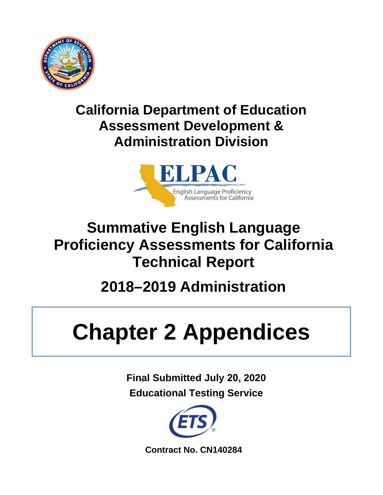

### **California Department of Education Assessment Development & Administration Division**



# **Summative English Language Proficiency Assessments for California Technical Report**

# **2018–2019 Administration**

# **Chapter 2 Appendices**

**Final Submitted July 20, 2020 Educational Testing Service** 



**Contract No. CN140284**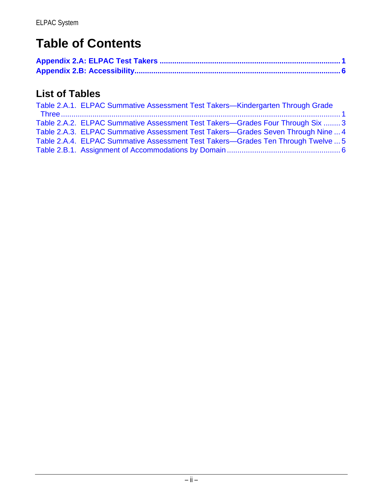### **Table of Contents**

### **List of Tables**

| Table 2.A.1. ELPAC Summative Assessment Test Takers—Kindergarten Through Grade   |
|----------------------------------------------------------------------------------|
|                                                                                  |
| Table 2.A.2. ELPAC Summative Assessment Test Takers—Grades Four Through Six  3   |
| Table 2.A.3. ELPAC Summative Assessment Test Takers-Grades Seven Through Nine  4 |
| Table 2.A.4. ELPAC Summative Assessment Test Takers—Grades Ten Through Twelve  5 |
|                                                                                  |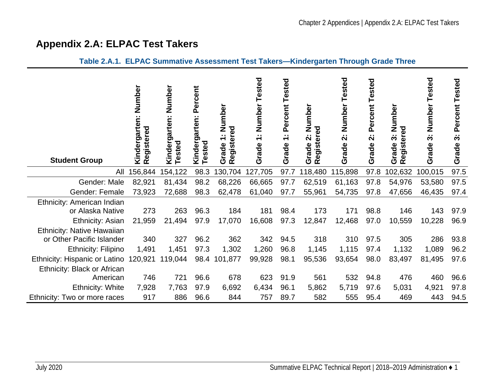<span id="page-2-1"></span><span id="page-2-0"></span>**Table 2.A.1. ELPAC Summative Assessment Test Takers—Kindergarten Through Grade Three**

# **Appendix 2.A: ELPAC Test Takers**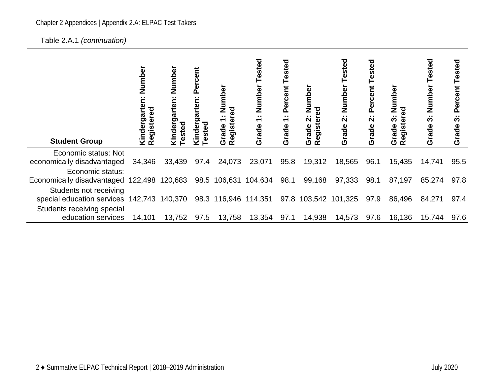#### Chapter 2 Appendices | Appendix 2.A: ELPAC Test Takers

Table 2.A.1 *(continuation)* 

| <b>Student Group</b>                                            | Number<br>Kindergarten:<br>Registered | Number<br>$\sim$<br>arten<br>sted<br>Kinder | Percent<br>arten:<br>ರಾ<br>sted<br>9pu | Numbe<br>Registered<br>$\sim$<br>$\overline{\phantom{0}}$<br>Grade | Tested<br>Number<br>$\sim$<br>$\overline{\phantom{0}}$<br>Grade | Tested<br>Percent<br>$\div$<br>Grade | Number<br>ල<br>$\ddot{\mathbf{v}}$<br>egister<br>Grade<br>$\alpha$ | Tested<br>Number<br>$\ddot{\mathbf{v}}$<br>Grade <sup>?</sup> | Tested<br>Percent<br>$\ddot{\mathbf{v}}$<br>Grade | Number<br>ढ़<br>$\ddot{\bm{\mathrm{o}}}$<br>$\omega$<br>Grade<br>egist<br>œ | Tested<br>Number<br>$\ddot{\bm{\mathrm{o}}}$<br>Grade | Tested<br>Percent<br>. .<br>S<br>Grade |
|-----------------------------------------------------------------|---------------------------------------|---------------------------------------------|----------------------------------------|--------------------------------------------------------------------|-----------------------------------------------------------------|--------------------------------------|--------------------------------------------------------------------|---------------------------------------------------------------|---------------------------------------------------|-----------------------------------------------------------------------------|-------------------------------------------------------|----------------------------------------|
| Economic status: Not<br>economically disadvantaged              | 34,346                                | 33,439                                      | 97.4                                   | 24,073                                                             | 23,071                                                          | 95.8                                 | 19,312                                                             | 18,565                                                        | 96.1                                              | 15,435                                                                      | 14,741                                                | 95.5                                   |
| Economic status:                                                |                                       |                                             |                                        |                                                                    |                                                                 |                                      |                                                                    |                                                               |                                                   |                                                                             |                                                       |                                        |
| Economically disadvantaged 122,498 120,683 98.5 106,631 104,634 |                                       |                                             |                                        |                                                                    |                                                                 | 98.1                                 | 99,168                                                             | 97,333                                                        | 98.1                                              | 87,197                                                                      | 85,274                                                | 97.8                                   |
| Students not receiving                                          |                                       |                                             |                                        |                                                                    |                                                                 |                                      |                                                                    |                                                               |                                                   |                                                                             |                                                       |                                        |
| special education services 142,743 140,370                      |                                       |                                             |                                        | 98.3 116,946 114,351                                               |                                                                 |                                      |                                                                    | 97.8 103,542 101,325                                          | 97.9                                              | 86,496                                                                      | 84,271                                                | 97.4                                   |
| Students receiving special                                      |                                       |                                             |                                        |                                                                    |                                                                 |                                      |                                                                    |                                                               |                                                   |                                                                             |                                                       |                                        |
| education services                                              | 14,101                                | 13,752                                      | 97.5                                   | 13,758                                                             | 13,354                                                          | 97.1                                 | 14,938                                                             | 14,573                                                        | 97.6                                              | 16,136                                                                      | 15,744                                                | 97.6                                   |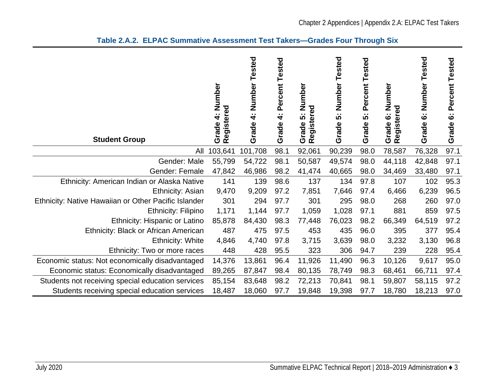<span id="page-4-0"></span>

| <b>Student Group</b>                                 | 4: Number<br>Registered<br>Grade | Tested<br>4: Number<br>Grade | Percent Tested<br>$\mathbf{r}$ .<br>4<br>Grade | Number<br>legistered<br>$\sim$<br>5<br>Grade<br>œ | Tested<br>Number<br>က်<br>Grade | Percent Tested<br>$\sim$ $\sim$<br>5<br>Grade | Number<br>Registered<br>$\ddot{\circ}$<br>Grade | Tested<br>Number<br>$\ddot{\mathbf{o}}$<br>Grade | Percent Tested<br>$\sim$ $\sim$<br>ဖ<br>Grade |
|------------------------------------------------------|----------------------------------|------------------------------|------------------------------------------------|---------------------------------------------------|---------------------------------|-----------------------------------------------|-------------------------------------------------|--------------------------------------------------|-----------------------------------------------|
| All                                                  | 103,641                          | 101,708                      | 98.1                                           | 92,061                                            | 90,239                          | 98.0                                          | 78,587                                          | 76,328                                           | 97.1                                          |
| Gender: Male                                         | 55,799                           | 54,722                       | 98.1                                           | 50,587                                            | 49,574                          | 98.0                                          | 44,118                                          | 42,848                                           | 97.1                                          |
| Gender: Female                                       | 47,842                           | 46,986                       | 98.2                                           | 41,474                                            | 40,665                          | 98.0                                          | 34,469                                          | 33,480                                           | 97.1                                          |
| Ethnicity: American Indian or Alaska Native          | 141                              | 139                          | 98.6                                           | 137                                               | 134                             | 97.8                                          | 107                                             | 102                                              | 95.3                                          |
| Ethnicity: Asian                                     | 9,470                            | 9,209                        | 97.2                                           | 7,851                                             | 7,646                           | 97.4                                          | 6,466                                           | 6,239                                            | 96.5                                          |
| Ethnicity: Native Hawaiian or Other Pacific Islander | 301                              | 294                          | 97.7                                           | 301                                               | 295                             | 98.0                                          | 268                                             | 260                                              | 97.0                                          |
| <b>Ethnicity: Filipino</b>                           | 1,171                            | 1,144                        | 97.7                                           | 1,059                                             | 1,028                           | 97.1                                          | 881                                             | 859                                              | 97.5                                          |
| Ethnicity: Hispanic or Latino                        | 85,878                           | 84,430                       | 98.3                                           | 77,448                                            | 76,023                          | 98.2                                          | 66,349                                          | 64,519                                           | 97.2                                          |
| Ethnicity: Black or African American                 | 487                              | 475                          | 97.5                                           | 453                                               | 435                             | 96.0                                          | 395                                             | 377                                              | 95.4                                          |
| <b>Ethnicity: White</b>                              | 4,846                            | 4,740                        | 97.8                                           | 3,715                                             | 3,639                           | 98.0                                          | 3,232                                           | 3,130                                            | 96.8                                          |
| Ethnicity: Two or more races                         | 448                              | 428                          | 95.5                                           | 323                                               | 306                             | 94.7                                          | 239                                             | 228                                              | 95.4                                          |
| Economic status: Not economically disadvantaged      | 14,376                           | 13,861                       | 96.4                                           | 11,926                                            | 11,490                          | 96.3                                          | 10,126                                          | 9,617                                            | 95.0                                          |
| Economic status: Economically disadvantaged          | 89,265                           | 87,847                       | 98.4                                           | 80,135                                            | 78,749                          | 98.3                                          | 68,461                                          | 66,711                                           | 97.4                                          |
| Students not receiving special education services    | 85,154                           | 83,648                       | 98.2                                           | 72,213                                            | 70,841                          | 98.1                                          | 59,807                                          | 58,115                                           | 97.2                                          |
| Students receiving special education services        | 18,487                           | 18,060                       | 97.7                                           | 19,848                                            | 19,398                          | 97.7                                          | 18,780                                          | 18,213                                           | 97.0                                          |

#### **Table 2.A.2. ELPAC Summative Assessment Test Takers—Grades Four Through Six**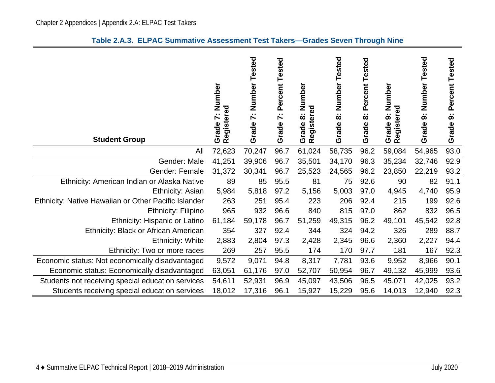<span id="page-5-0"></span>

| <b>Student Group</b>                                 | Number<br>egistered<br>$\ddot{\phantom{a}}$<br>M<br>Grade<br>œ | Number<br>Tested<br>$\ddot{\sim}$<br>Grade | Percent Tested<br>$\sim$<br>$\blacktriangleright$<br>Grade | Number<br>egistered<br>$\sim$<br>$\infty$<br>Grade<br>$\alpha$ | ested<br>⊢<br>Number<br>$\sim$<br>$\infty$<br>Grade | Percent Tested<br>$\sim$<br>œ<br>Grade | Number<br>Registered<br>க்<br>Grade | Tested<br>Number<br>$\ddot{\bullet}$<br>Grade | Percent Tested<br>$\sim$<br>တ<br>Grade |
|------------------------------------------------------|----------------------------------------------------------------|--------------------------------------------|------------------------------------------------------------|----------------------------------------------------------------|-----------------------------------------------------|----------------------------------------|-------------------------------------|-----------------------------------------------|----------------------------------------|
| All                                                  | 72,623                                                         | 70,247                                     | 96.7                                                       | 61,024                                                         | 58,735                                              | 96.2                                   | 59,084                              | 54,965                                        | 93.0                                   |
| Gender: Male                                         | 41,251                                                         | 39,906                                     | 96.7                                                       | 35,501                                                         | 34,170                                              | 96.3                                   | 35,234                              | 32,746                                        | 92.9                                   |
| Gender: Female                                       | 31,372                                                         | 30,341                                     | 96.7                                                       | 25,523                                                         | 24,565                                              | 96.2                                   | 23,850                              | 22,219                                        | 93.2                                   |
| Ethnicity: American Indian or Alaska Native          | 89                                                             | 85                                         | 95.5                                                       | 81                                                             | 75                                                  | 92.6                                   | 90                                  | 82                                            | 91.1                                   |
| Ethnicity: Asian                                     | 5,984                                                          | 5,818                                      | 97.2                                                       | 5,156                                                          | 5,003                                               | 97.0                                   | 4,945                               | 4,740                                         | 95.9                                   |
| Ethnicity: Native Hawaiian or Other Pacific Islander | 263                                                            | 251                                        | 95.4                                                       | 223                                                            | 206                                                 | 92.4                                   | 215                                 | 199                                           | 92.6                                   |
| <b>Ethnicity: Filipino</b>                           | 965                                                            | 932                                        | 96.6                                                       | 840                                                            | 815                                                 | 97.0                                   | 862                                 | 832                                           | 96.5                                   |
| Ethnicity: Hispanic or Latino                        | 61,184                                                         | 59,178                                     | 96.7                                                       | 51,259                                                         | 49,315                                              | 96.2                                   | 49,101                              | 45,542                                        | 92.8                                   |
| Ethnicity: Black or African American                 | 354                                                            | 327                                        | 92.4                                                       | 344                                                            | 324                                                 | 94.2                                   | 326                                 | 289                                           | 88.7                                   |
| <b>Ethnicity: White</b>                              | 2,883                                                          | 2,804                                      | 97.3                                                       | 2,428                                                          | 2,345                                               | 96.6                                   | 2,360                               | 2,227                                         | 94.4                                   |
| Ethnicity: Two or more races                         | 269                                                            | 257                                        | 95.5                                                       | 174                                                            | 170                                                 | 97.7                                   | 181                                 | 167                                           | 92.3                                   |
| Economic status: Not economically disadvantaged      | 9,572                                                          | 9,071                                      | 94.8                                                       | 8,317                                                          | 7,781                                               | 93.6                                   | 9,952                               | 8,966                                         | 90.1                                   |
| Economic status: Economically disadvantaged          | 63,051                                                         | 61,176                                     | 97.0                                                       | 52,707                                                         | 50,954                                              | 96.7                                   | 49,132                              | 45,999                                        | 93.6                                   |
| Students not receiving special education services    | 54,611                                                         | 52,931                                     | 96.9                                                       | 45,097                                                         | 43,506                                              | 96.5                                   | 45,071                              | 42,025                                        | 93.2                                   |
| Students receiving special education services        | 18,012                                                         | 17,316                                     | 96.1                                                       | 15,927                                                         | 15,229                                              | 95.6                                   | 14,013                              | 12,940                                        | 92.3                                   |

#### **Table 2.A.3. ELPAC Summative Assessment Test Takers—Grades Seven Through Nine**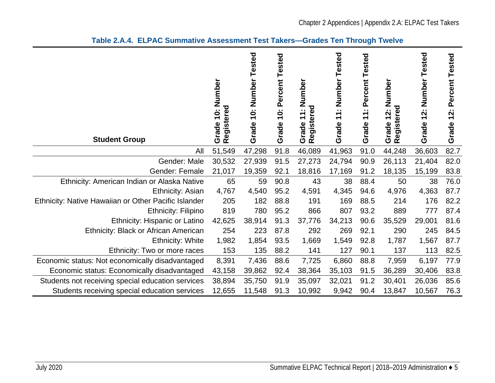<span id="page-6-0"></span>

| <b>Student Group</b>                                 | 10: Number<br>gistered<br>Grade<br><b>Re</b> | 10: Number Tested<br>Grade | Percent Tested<br>$\ddot{0}$<br>Grade | Number<br>gistered<br>$\sim$ $\sim$<br>$\overline{\phantom{0}}$<br>$\overline{\phantom{0}}$<br>Grade<br>Regist | Tested<br>: Number<br>$\blacktriangledown$<br>$\overline{\phantom{0}}$<br>Grade | : Percent Tested<br>$\mathbf{r}$<br>Grade | Number<br>gistered<br>$\ddot{2}$ :<br>Grade<br>R<br>R | 12: Number Tested<br>Grade | Percent Tested<br>12:<br>Grade |
|------------------------------------------------------|----------------------------------------------|----------------------------|---------------------------------------|----------------------------------------------------------------------------------------------------------------|---------------------------------------------------------------------------------|-------------------------------------------|-------------------------------------------------------|----------------------------|--------------------------------|
| All                                                  | 51,549                                       | 47,298                     | 91.8                                  | 46,089                                                                                                         | 41,963                                                                          | 91.0                                      | 44,248                                                | 36,603                     | 82.7                           |
| Gender: Male                                         | 30,532                                       | 27,939                     | 91.5                                  | 27,273                                                                                                         | 24,794                                                                          | 90.9                                      | 26,113                                                | 21,404                     | 82.0                           |
| Gender: Female                                       | 21,017                                       | 19,359                     | 92.1                                  | 18,816                                                                                                         | 17,169                                                                          | 91.2                                      | 18,135                                                | 15,199                     | 83.8                           |
| Ethnicity: American Indian or Alaska Native          | 65                                           | 59                         | 90.8                                  | 43                                                                                                             | 38                                                                              | 88.4                                      | 50                                                    | 38                         | 76.0                           |
| Ethnicity: Asian                                     | 4,767                                        | 4,540                      | 95.2                                  | 4,591                                                                                                          | 4,345                                                                           | 94.6                                      | 4,976                                                 | 4,363                      | 87.7                           |
| Ethnicity: Native Hawaiian or Other Pacific Islander | 205                                          | 182                        | 88.8                                  | 191                                                                                                            | 169                                                                             | 88.5                                      | 214                                                   | 176                        | 82.2                           |
| <b>Ethnicity: Filipino</b>                           | 819                                          | 780                        | 95.2                                  | 866                                                                                                            | 807                                                                             | 93.2                                      | 889                                                   | 777                        | 87.4                           |
| Ethnicity: Hispanic or Latino                        | 42,625                                       | 38,914                     | 91.3                                  | 37,776                                                                                                         | 34,213                                                                          | 90.6                                      | 35,529                                                | 29,001                     | 81.6                           |
| Ethnicity: Black or African American                 | 254                                          | 223                        | 87.8                                  | 292                                                                                                            | 269                                                                             | 92.1                                      | 290                                                   | 245                        | 84.5                           |
| <b>Ethnicity: White</b>                              | 1,982                                        | 1,854                      | 93.5                                  | 1,669                                                                                                          | 1,549                                                                           | 92.8                                      | 1,787                                                 | 1,567                      | 87.7                           |
| Ethnicity: Two or more races                         | 153                                          | 135                        | 88.2                                  | 141                                                                                                            | 127                                                                             | 90.1                                      | 137                                                   | 113                        | 82.5                           |
| Economic status: Not economically disadvantaged      | 8,391                                        | 7,436                      | 88.6                                  | 7,725                                                                                                          | 6,860                                                                           | 88.8                                      | 7,959                                                 | 6,197                      | 77.9                           |
| Economic status: Economically disadvantaged          | 43,158                                       | 39,862                     | 92.4                                  | 38,364                                                                                                         | 35,103                                                                          | 91.5                                      | 36,289                                                | 30,406                     | 83.8                           |
| Students not receiving special education services    | 38,894                                       | 35,750                     | 91.9                                  | 35,097                                                                                                         | 32,021                                                                          | 91.2                                      | 30,401                                                | 26,036                     | 85.6                           |
| Students receiving special education services        | 12,655                                       | 11,548                     | 91.3                                  | 10,992                                                                                                         | 9,942                                                                           | 90.4                                      | 13,847                                                | 10,567                     | 76.3                           |

**Table 2.A.4. ELPAC Summative Assessment Test Takers—Grades Ten Through Twelve**